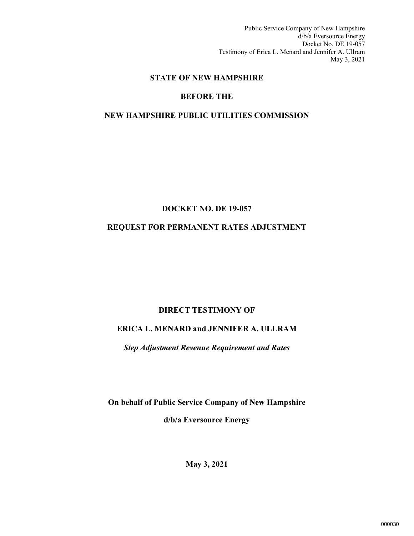Public Service Company of New Hampshire d/b/a Eversource Energy Docket No. DE 19-057 Testimony of Erica L. Menard and Jennifer A. Ullram May 3, 2021

#### **STATE OF NEW HAMPSHIRE**

#### **BEFORE THE**

#### **NEW HAMPSHIRE PUBLIC UTILITIES COMMISSION**

#### **DOCKET NO. DE 19-057**

#### **REQUEST FOR PERMANENT RATES ADJUSTMENT**

#### **DIRECT TESTIMONY OF**

#### **ERICA L. MENARD and JENNIFER A. ULLRAM**

*Step Adjustment Revenue Requirement and Rates*

**On behalf of Public Service Company of New Hampshire d/b/a Eversource Energy**

**May 3, 2021**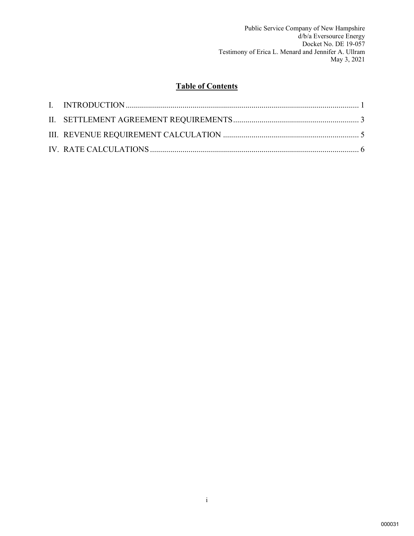Public Service Company of New Hampshire d/b/a Eversource Energy Docket No. DE 19-057 Testimony of Erica L. Menard and Jennifer A. Ullram May 3, 2021

## **Table of Contents**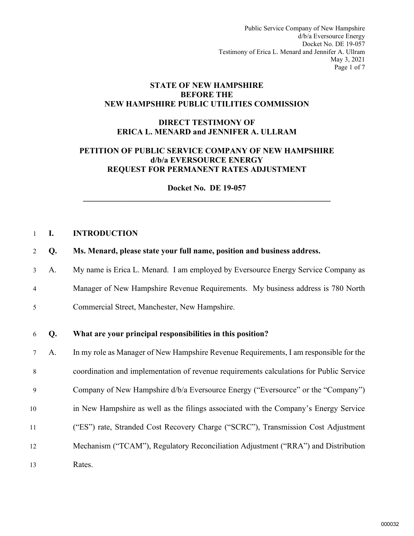Public Service Company of New Hampshire d/b/a Eversource Energy Docket No. DE 19-057 Testimony of Erica L. Menard and Jennifer A. Ullram May 3, 2021 Page 1 of 7

#### **STATE OF NEW HAMPSHIRE BEFORE THE NEW HAMPSHIRE PUBLIC UTILITIES COMMISSION**

#### **DIRECT TESTIMONY OF ERICA L. MENARD and JENNIFER A. ULLRAM**

#### **PETITION OF PUBLIC SERVICE COMPANY OF NEW HAMPSHIRE d/b/a EVERSOURCE ENERGY REQUEST FOR PERMANENT RATES ADJUSTMENT**

**Docket No. DE 19-057 \_\_\_\_\_\_\_\_\_\_\_\_\_\_\_\_\_\_\_\_\_\_\_\_\_\_\_\_\_\_\_\_\_\_\_\_\_\_\_\_\_\_\_\_\_\_\_\_\_\_\_\_\_\_\_\_\_\_\_\_\_** 

#### <span id="page-2-0"></span>1 **I. INTRODUCTION**

- 2 **Q. Ms. Menard, please state your full name, position and business address.**
- 3 A. My name is Erica L. Menard. I am employed by Eversource Energy Service Company as 4 Manager of New Hampshire Revenue Requirements. My business address is 780 North 5 Commercial Street, Manchester, New Hampshire.

#### 6 **Q. What are your principal responsibilities in this position?**

7 A. In my role as Manager of New Hampshire Revenue Requirements, I am responsible for the 8 coordination and implementation of revenue requirements calculations for Public Service 9 Company of New Hampshire d/b/a Eversource Energy ("Eversource" or the "Company") 10 in New Hampshire as well as the filings associated with the Company's Energy Service 11 ("ES") rate, Stranded Cost Recovery Charge ("SCRC"), Transmission Cost Adjustment 12 Mechanism ("TCAM"), Regulatory Reconciliation Adjustment ("RRA") and Distribution 13 Rates.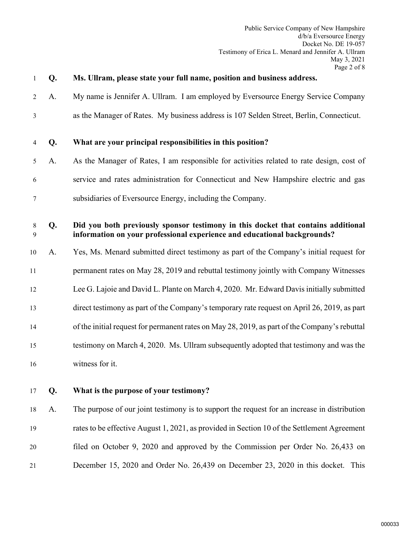| 1              | Q. | Ms. Ullram, please state your full name, position and business address.                                                                                       |
|----------------|----|---------------------------------------------------------------------------------------------------------------------------------------------------------------|
| 2              | A. | My name is Jennifer A. Ullram. I am employed by Eversource Energy Service Company                                                                             |
| $\mathfrak{Z}$ |    | as the Manager of Rates. My business address is 107 Selden Street, Berlin, Connecticut.                                                                       |
| 4              | Q. | What are your principal responsibilities in this position?                                                                                                    |
| 5              | A. | As the Manager of Rates, I am responsible for activities related to rate design, cost of                                                                      |
| 6              |    | service and rates administration for Connecticut and New Hampshire electric and gas                                                                           |
| 7              |    | subsidiaries of Eversource Energy, including the Company.                                                                                                     |
| 8<br>9         | Q. | Did you both previously sponsor testimony in this docket that contains additional<br>information on your professional experience and educational backgrounds? |
| 10             | A. | Yes, Ms. Menard submitted direct testimony as part of the Company's initial request for                                                                       |
| 11             |    | permanent rates on May 28, 2019 and rebuttal testimony jointly with Company Witnesses                                                                         |
| 12             |    | Lee G. Lajoie and David L. Plante on March 4, 2020. Mr. Edward Davis initially submitted                                                                      |
| 13             |    | direct testimony as part of the Company's temporary rate request on April 26, 2019, as part                                                                   |
| 14             |    | of the initial request for permanent rates on May 28, 2019, as part of the Company's rebuttal                                                                 |
| 15             |    | testimony on March 4, 2020. Ms. Ullram subsequently adopted that testimony and was the                                                                        |
| 16             |    | witness for it.                                                                                                                                               |
| 17             | Q. | What is the purpose of your testimony?                                                                                                                        |
| 18             | A. | The purpose of our joint testimony is to support the request for an increase in distribution                                                                  |
| 19             |    | rates to be effective August 1, 2021, as provided in Section 10 of the Settlement Agreement                                                                   |
| 20             |    | filed on October 9, 2020 and approved by the Commission per Order No. 26,433 on                                                                               |
| 21             |    | December 15, 2020 and Order No. 26,439 on December 23, 2020 in this docket. This                                                                              |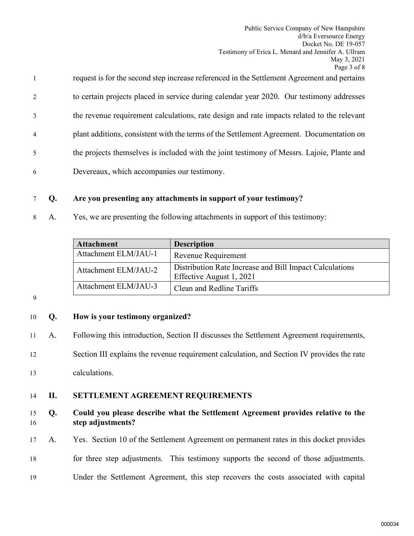| $\mathbf{1}$   | request is for the second step increase referenced in the Settlement Agreement and pertains |
|----------------|---------------------------------------------------------------------------------------------|
| 2              | to certain projects placed in service during calendar year 2020. Our testimony addresses    |
| 3              | the revenue requirement calculations, rate design and rate impacts related to the relevant  |
| $\overline{4}$ | plant additions, consistent with the terms of the Settlement Agreement. Documentation on    |
| 5              | the projects themselves is included with the joint testimony of Messrs. Lajoie, Plante and  |
| 6              | Devereaux, which accompanies our testimony.                                                 |

## 7 **Q. Are you presenting any attachments in support of your testimony?**

8 A. Yes, we are presenting the following attachments in support of this testimony:

| <b>Attachment</b>    | <b>Description</b>                                                                  |
|----------------------|-------------------------------------------------------------------------------------|
| Attachment ELM/JAU-1 | Revenue Requirement                                                                 |
| Attachment ELM/JAU-2 | Distribution Rate Increase and Bill Impact Calculations<br>Effective August 1, 2021 |
| Attachment ELM/JAU-3 | Clean and Redline Tariffs                                                           |

9

# 10 **Q. How is your testimony organized?**

11 A. Following this introduction, Section II discusses the Settlement Agreement requirements,

12 Section III explains the revenue requirement calculation, and Section IV provides the rate

13 calculations.

# <span id="page-4-0"></span>14 **II. SETTLEMENT AGREEMENT REQUIREMENTS**

#### 15 **Q. Could you please describe what the Settlement Agreement provides relative to the**  16 **step adjustments?**

- 17 A. Yes. Section 10 of the Settlement Agreement on permanent rates in this docket provides
- 18 for three step adjustments. This testimony supports the second of those adjustments.
- 19 Under the Settlement Agreement, this step recovers the costs associated with capital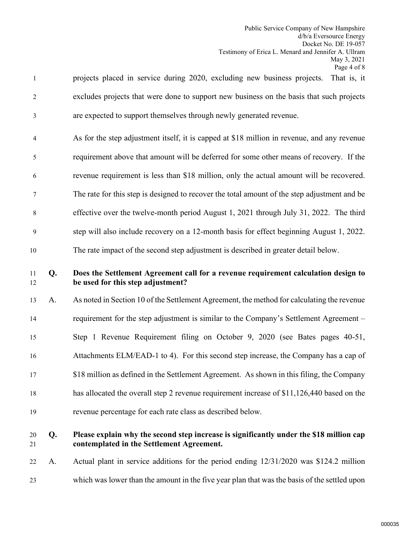| $\mathbf{1}$   |    | projects placed in service during 2020, excluding new business projects. That is, it                                    |
|----------------|----|-------------------------------------------------------------------------------------------------------------------------|
| $\overline{2}$ |    | excludes projects that were done to support new business on the basis that such projects                                |
| 3              |    | are expected to support themselves through newly generated revenue.                                                     |
| $\overline{4}$ |    | As for the step adjustment itself, it is capped at \$18 million in revenue, and any revenue                             |
| 5              |    | requirement above that amount will be deferred for some other means of recovery. If the                                 |
| 6              |    | revenue requirement is less than \$18 million, only the actual amount will be recovered.                                |
| 7              |    | The rate for this step is designed to recover the total amount of the step adjustment and be                            |
| 8              |    | effective over the twelve-month period August 1, 2021 through July 31, 2022. The third                                  |
| $\mathbf{9}$   |    | step will also include recovery on a 12-month basis for effect beginning August 1, 2022.                                |
| 10             |    | The rate impact of the second step adjustment is described in greater detail below.                                     |
| 11<br>12       | Q. | Does the Settlement Agreement call for a revenue requirement calculation design to<br>be used for this step adjustment? |
| 13             | A. | As noted in Section 10 of the Settlement Agreement, the method for calculating the revenue                              |
| 14             |    | requirement for the step adjustment is similar to the Company's Settlement Agreement –                                  |
| 15             |    | Step 1 Revenue Requirement filing on October 9, 2020 (see Bates pages 40-51,                                            |
| 16             |    | Attachments ELM/EAD-1 to 4). For this second step increase, the Company has a cap of                                    |
| 17             |    | \$18 million as defined in the Settlement Agreement. As shown in this filing, the Company                               |
| 18             |    | has allocated the overall step 2 revenue requirement increase of \$11,126,440 based on the                              |
| 19             |    | revenue percentage for each rate class as described below.                                                              |
|                |    |                                                                                                                         |

## ease explain why the second step increase is significantly under the \$18 million cap 21 **contemplated in the Settlement Agreement.**

22 A. Actual plant in service additions for the period ending 12/31/2020 was \$124.2 million 23 which was lower than the amount in the five year plan that was the basis of the settled upon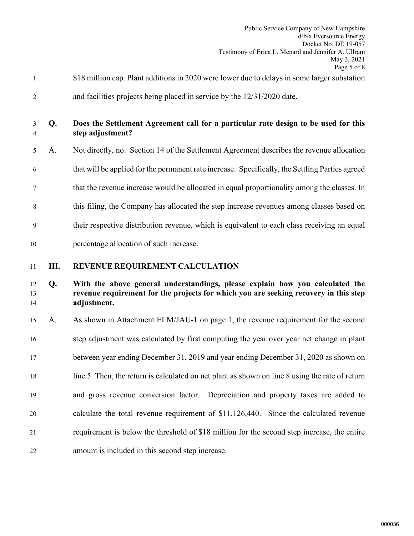|                                                    |    | Page 5 of 8                                                                                                                                                                         |
|----------------------------------------------------|----|-------------------------------------------------------------------------------------------------------------------------------------------------------------------------------------|
| $\mathbf{1}$                                       |    | \$18 million cap. Plant additions in 2020 were lower due to delays in some larger substation                                                                                        |
| $\overline{2}$                                     |    | and facilities projects being placed in service by the $12/31/2020$ date.                                                                                                           |
| 3<br>4                                             | Q. | Does the Settlement Agreement call for a particular rate design to be used for this<br>step adjustment?                                                                             |
| 5                                                  | A. | Not directly, no. Section 14 of the Settlement Agreement describes the revenue allocation                                                                                           |
| 6                                                  |    | that will be applied for the permanent rate increase. Specifically, the Settling Parties agreed                                                                                     |
| 7                                                  |    | that the revenue increase would be allocated in equal proportionality among the classes. In                                                                                         |
| 8                                                  |    | this filing, the Company has allocated the step increase revenues among classes based on                                                                                            |
| 9                                                  |    | their respective distribution revenue, which is equivalent to each class receiving an equal                                                                                         |
| 10                                                 |    |                                                                                                                                                                                     |
|                                                    |    | percentage allocation of such increase.                                                                                                                                             |
| 11                                                 | Ш. | REVENUE REQUIREMENT CALCULATION                                                                                                                                                     |
|                                                    | Q. | With the above general understandings, please explain how you calculated the<br>revenue requirement for the projects for which you are seeking recovery in this step<br>adjustment. |
|                                                    | A. | As shown in Attachment ELM/JAU-1 on page 1, the revenue requirement for the second                                                                                                  |
|                                                    |    | step adjustment was calculated by first computing the year over year net change in plant                                                                                            |
|                                                    |    | between year ending December 31, 2019 and year ending December 31, 2020 as shown on                                                                                                 |
|                                                    |    | line 5. Then, the return is calculated on net plant as shown on line 8 using the rate of return                                                                                     |
|                                                    |    | and gross revenue conversion factor. Depreciation and property taxes are added to                                                                                                   |
| 12<br>13<br>14<br>15<br>16<br>17<br>18<br>19<br>20 |    | calculate the total revenue requirement of \$11,126,440. Since the calculated revenue                                                                                               |

<span id="page-6-0"></span>22 amount is included in this second step increase.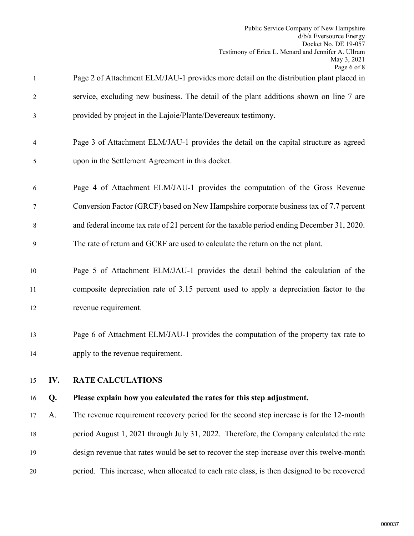<span id="page-7-0"></span>

| $\mathbf{1}$ |     | Page 2 of Attachment ELM/JAU-1 provides more detail on the distribution plant placed in    |
|--------------|-----|--------------------------------------------------------------------------------------------|
| 2            |     | service, excluding new business. The detail of the plant additions shown on line 7 are     |
| 3            |     | provided by project in the Lajoie/Plante/Devereaux testimony.                              |
| 4            |     | Page 3 of Attachment ELM/JAU-1 provides the detail on the capital structure as agreed      |
| 5            |     | upon in the Settlement Agreement in this docket.                                           |
| 6            |     | Page 4 of Attachment ELM/JAU-1 provides the computation of the Gross Revenue               |
| 7            |     | Conversion Factor (GRCF) based on New Hampshire corporate business tax of 7.7 percent      |
| 8            |     | and federal income tax rate of 21 percent for the taxable period ending December 31, 2020. |
| 9            |     | The rate of return and GCRF are used to calculate the return on the net plant.             |
| 10           |     | Page 5 of Attachment ELM/JAU-1 provides the detail behind the calculation of the           |
| 11           |     | composite depreciation rate of 3.15 percent used to apply a depreciation factor to the     |
| 12           |     | revenue requirement.                                                                       |
| 13           |     | Page 6 of Attachment ELM/JAU-1 provides the computation of the property tax rate to        |
| 14           |     | apply to the revenue requirement.                                                          |
| 15           | IV. | <b>RATE CALCULATIONS</b>                                                                   |
| 16           | Q.  | Please explain how you calculated the rates for this step adjustment.                      |
| 17           | A.  | The revenue requirement recovery period for the second step increase is for the 12-month   |
| 18           |     | period August 1, 2021 through July 31, 2022. Therefore, the Company calculated the rate    |
| 19           |     | design revenue that rates would be set to recover the step increase over this twelve-month |
| 20           |     | period. This increase, when allocated to each rate class, is then designed to be recovered |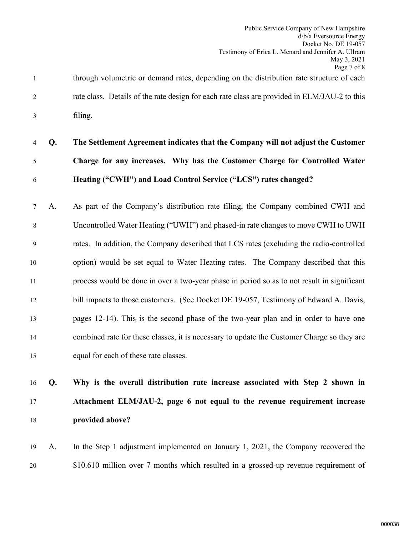1 through volumetric or demand rates, depending on the distribution rate structure of each 2 rate class. Details of the rate design for each rate class are provided in ELM/JAU-2 to this 3 filing.

# 4 **Q. The Settlement Agreement indicates that the Company will not adjust the Customer**  5 **Charge for any increases. Why has the Customer Charge for Controlled Water**  6 **Heating ("CWH") and Load Control Service ("LCS") rates changed?**

7 A. As part of the Company's distribution rate filing, the Company combined CWH and 8 Uncontrolled Water Heating ("UWH") and phased-in rate changes to move CWH to UWH 9 rates. In addition, the Company described that LCS rates (excluding the radio-controlled 10 option) would be set equal to Water Heating rates. The Company described that this 11 process would be done in over a two-year phase in period so as to not result in significant 12 bill impacts to those customers. (See Docket DE 19-057, Testimony of Edward A. Davis, 13 pages 12-14). This is the second phase of the two-year plan and in order to have one 14 combined rate for these classes, it is necessary to update the Customer Charge so they are 15 equal for each of these rate classes.

# 16 **Q. Why is the overall distribution rate increase associated with Step 2 shown in**  17 **Attachment ELM/JAU-2, page 6 not equal to the revenue requirement increase**  18 **provided above?**

19 A. In the Step 1 adjustment implemented on January 1, 2021, the Company recovered the 20 \$10.610 million over 7 months which resulted in a grossed-up revenue requirement of